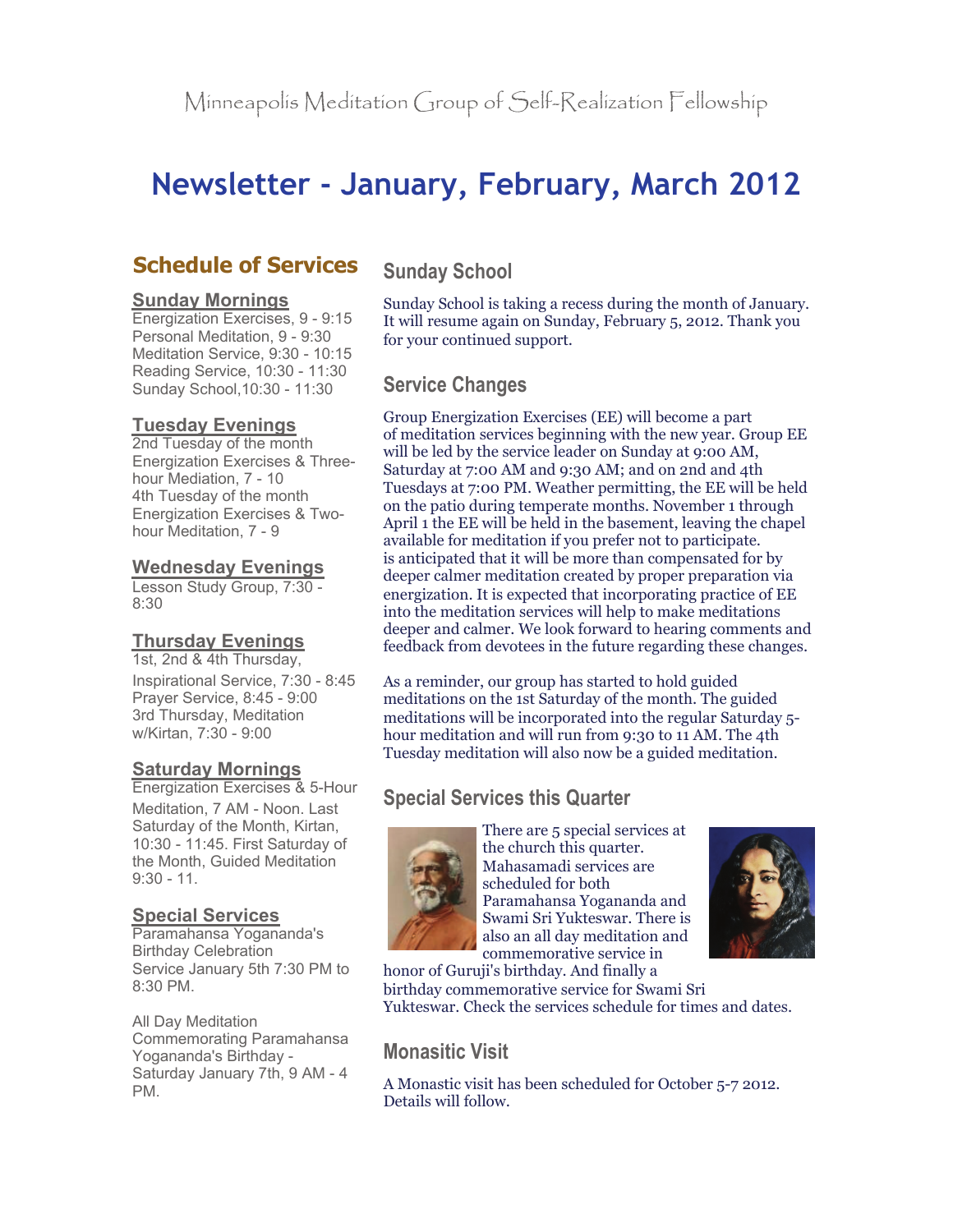# **Newsletter - January, February, March 2012**

# **Schedule of Services**

#### **Sunday Mornings**

Energization Exercises, 9 - 9:15 Personal Meditation, 9 - 9:30 Meditation Service, 9:30 - 10:15 Reading Service, 10:30 - 11:30 Sunday School,10:30 - 11:30

#### **Tuesday Evenings**

2nd Tuesday of the month Energization Exercises & Threehour Mediation, 7 - 10 4th Tuesday of the month Energization Exercises & Twohour Meditation, 7 - 9

#### **Wednesday Evenings**

Lesson Study Group, 7:30 - 8:30

#### **Thursday Evenings**

1st, 2nd & 4th Thursday, Inspirational Service, 7:30 - 8:45 Prayer Service, 8:45 - 9:00 3rd Thursday, Meditation w/Kirtan, 7:30 - 9:00

#### **Saturday Mornings**

Energization Exercises & 5-Hour Meditation, 7 AM - Noon. Last Saturday of the Month, Kirtan, 10:30 - 11:45. First Saturday of the Month, Guided Meditation  $9:30 - 11$ .

#### **Special Services**

Paramahansa Yogananda's Birthday Celebration Service January 5th 7:30 PM to 8:30 PM.

All Day Meditation Commemorating Paramahansa Yogananda's Birthday - Saturday January 7th, 9 AM - 4 PM.

## **Sunday School**

Sunday School is taking a recess during the month of January. It will resume again on Sunday, February 5, 2012. Thank you for your continued support.

# **Service Changes**

Group Energization Exercises (EE) will become a part of meditation services beginning with the new year. Group EE will be led by the service leader on Sunday at 9:00 AM, Saturday at 7:00 AM and 9:30 AM; and on 2nd and 4th Tuesdays at 7:00 PM. Weather permitting, the EE will be held on the patio during temperate months. November 1 through April 1 the EE will be held in the basement, leaving the chapel available for meditation if you prefer not to participate. is anticipated that it will be more than compensated for by deeper calmer meditation created by proper preparation via energization. It is expected that incorporating practice of EE into the meditation services will help to make meditations deeper and calmer. We look forward to hearing comments and feedback from devotees in the future regarding these changes.

As a reminder, our group has started to hold guided meditations on the 1st Saturday of the month. The guided meditations will be incorporated into the regular Saturday 5 hour meditation and will run from 9:30 to 11 AM. The 4th Tuesday meditation will also now be a guided meditation.

# **Special Services this Quarter**



There are 5 special services at the church this quarter. Mahasamadi services are scheduled for both Paramahansa Yogananda and Swami Sri Yukteswar. There is also an all day meditation and commemorative service in



honor of Guruji's birthday. And finally a birthday commemorative service for Swami Sri Yukteswar. Check the services schedule for times and dates.

# **Monasitic Visit**

A Monastic visit has been scheduled for October 5-7 2012. Details will follow.